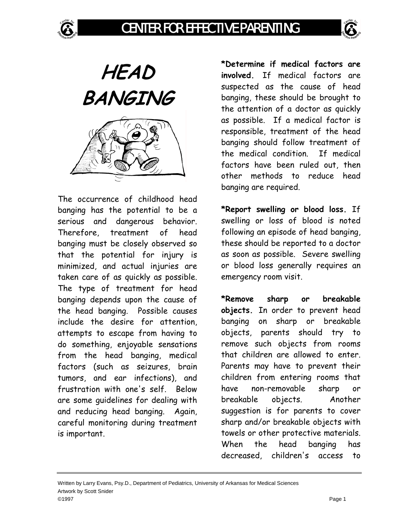



**HEAD BANGING** 

The occurrence of childhood head banging has the potential to be a serious and dangerous behavior. Therefore, treatment of head banging must be closely observed so that the potential for injury is minimized, and actual injuries are taken care of as quickly as possible. The type of treatment for head banging depends upon the cause of the head banging. Possible causes include the desire for attention, attempts to escape from having to do something, enjoyable sensations from the head banging, medical factors (such as seizures, brain tumors, and ear infections), and frustration with one's self. Below are some guidelines for dealing with and reducing head banging. Again, careful monitoring during treatment is important.

**\*Determine if medical factors are involved.** If medical factors are suspected as the cause of head banging, these should be brought to the attention of a doctor as quickly as possible. If a medical factor is responsible, treatment of the head banging should follow treatment of the medical condition. If medical factors have been ruled out, then other methods to reduce head banging are required.

**\*Report swelling or blood loss.** If swelling or loss of blood is noted following an episode of head banging, these should be reported to a doctor as soon as possible. Severe swelling or blood loss generally requires an emergency room visit.

**\*Remove sharp or breakable objects.** In order to prevent head banging on sharp or breakable objects, parents should try to remove such objects from rooms that children are allowed to enter. Parents may have to prevent their children from entering rooms that have non-removable sharp or breakable objects. Another suggestion is for parents to cover sharp and/or breakable objects with towels or other protective materials. When the head banging has decreased, children's access to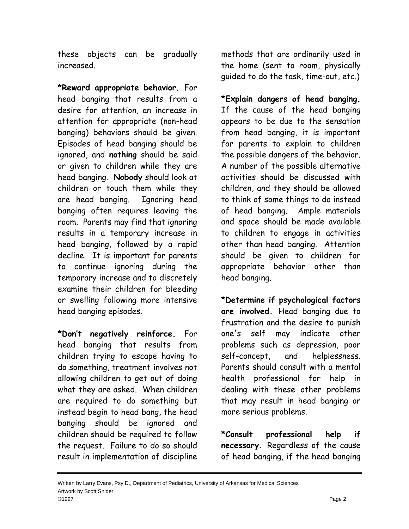these objects can be gradually increased.

**\*Reward appropriate behavior.** For head banging that results from a desire for attention, an increase in attention for appropriate (non-head banging) behaviors should be given. Episodes of head banging should be ignored, and **nothing** should be said or given to children while they are head banging. **Nobody** should look at children or touch them while they are head banging. Ignoring head banging often requires leaving the room. Parents may find that ignoring results in a temporary increase in head banging, followed by a rapid decline. It is important for parents to continue ignoring during the temporary increase and to discretely examine their children for bleeding or swelling following more intensive head banging episodes.

**\*Don't negatively reinforce.** For head banging that results from children trying to escape having to do something, treatment involves not allowing children to get out of doing what they are asked. When children are required to do something but instead begin to head bang, the head banging should be ignored and children should be required to follow the request. Failure to do so should result in implementation of discipline

methods that are ordinarily used in the home (sent to room, physically guided to do the task, time-out, etc.)

**\*Explain dangers of head banging.**  If the cause of the head banging appears to be due to the sensation from head banging, it is important for parents to explain to children the possible dangers of the behavior. A number of the possible alternative activities should be discussed with children, and they should be allowed to think of some things to do instead of head banging. Ample materials and space should be made available to children to engage in activities other than head banging. Attention should be given to children for appropriate behavior other than head banging.

**\*Determine if psychological factors are involved.** Head banging due to frustration and the desire to punish one's self may indicate other problems such as depression, poor self-concept, and helplessness. Parents should consult with a mental health professional for help in dealing with these other problems that may result in head banging or more serious problems.

**\*Consult professional help if necessary.** Regardless of the cause of head banging, if the head banging